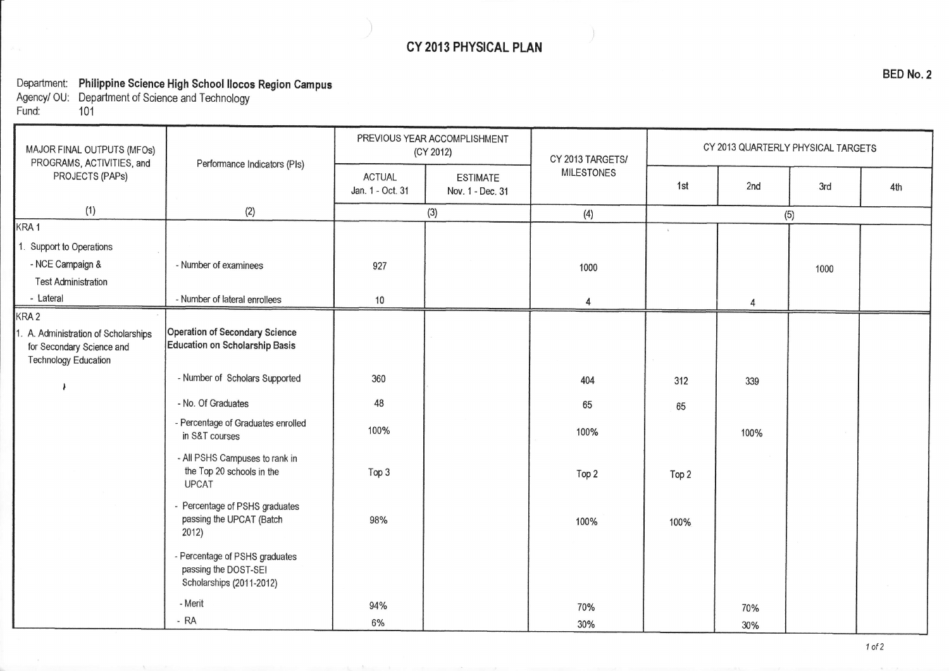## CY 2013 PHYSICAL PLAN

Department: Philippine Science High School Ilocos Region Campus

Agency/ 0U: Department of Science and Technology Fund: <sup>101</sup>

| MAJOR FINAL OUTPUTS (MFOs)<br>PROGRAMS, ACTIVITIES, and<br>PROJECTS (PAPs)                       | Performance Indicators (PIs)                                                       | PREVIOUS YEAR ACCOMPLISHMENT<br>(CY 2012) |                                     | CY 2013 TARGETS/  | CY 2013 QUARTERLY PHYSICAL TARGETS |      |      |     |
|--------------------------------------------------------------------------------------------------|------------------------------------------------------------------------------------|-------------------------------------------|-------------------------------------|-------------------|------------------------------------|------|------|-----|
|                                                                                                  |                                                                                    | <b>ACTUAL</b><br>Jan. 1 - Oct. 31         | <b>ESTIMATE</b><br>Nov. 1 - Dec. 31 | <b>MILESTONES</b> | 1st                                | 2nd  | 3rd  | 4th |
| (1)                                                                                              | (2)                                                                                | (3)                                       |                                     | (4)               | (5)                                |      |      |     |
| KRA <sub>1</sub>                                                                                 |                                                                                    |                                           |                                     |                   | $\Delta$                           |      |      |     |
| 1. Support to Operations                                                                         |                                                                                    |                                           |                                     |                   |                                    |      |      |     |
| - NCE Campaign &                                                                                 | - Number of examinees                                                              | 927                                       |                                     | 1000              |                                    |      | 1000 |     |
| <b>Test Administration</b>                                                                       |                                                                                    |                                           |                                     |                   |                                    |      |      |     |
| - Lateral                                                                                        | - Number of lateral enrollees                                                      | 10                                        |                                     | 4                 |                                    | 4    |      |     |
| KRA <sub>2</sub>                                                                                 |                                                                                    |                                           |                                     |                   |                                    |      |      |     |
| 1. A. Administration of Scholarships<br>for Secondary Science and<br><b>Technology Education</b> | Operation of Secondary Science<br>Education on Scholarship Basis                   |                                           |                                     |                   |                                    |      |      |     |
|                                                                                                  | - Number of Scholars Supported                                                     | 360                                       |                                     | 404               | 312                                | 339  |      |     |
|                                                                                                  | - No. Of Graduates                                                                 | 48                                        |                                     | 65                | 65                                 |      |      |     |
|                                                                                                  | - Percentage of Graduates enrolled<br>in S&T courses                               | 100%                                      |                                     | 100%              |                                    | 100% |      |     |
|                                                                                                  | - All PSHS Campuses to rank in<br>the Top 20 schools in the<br><b>UPCAT</b>        | Top 3                                     |                                     | Top 2             | Top 2                              |      |      |     |
|                                                                                                  | - Percentage of PSHS graduates<br>passing the UPCAT (Batch<br>2012)                | 98%                                       |                                     | 100%              | 100%                               |      |      |     |
|                                                                                                  | - Percentage of PSHS graduates<br>passing the DOST-SEI<br>Scholarships (2011-2012) |                                           |                                     |                   |                                    |      |      |     |
|                                                                                                  | - Merit                                                                            | 94%                                       |                                     | 70%               |                                    | 70%  |      |     |
|                                                                                                  | $-RA$                                                                              | 6%                                        |                                     | 30%               |                                    | 30%  |      |     |

BED No.2